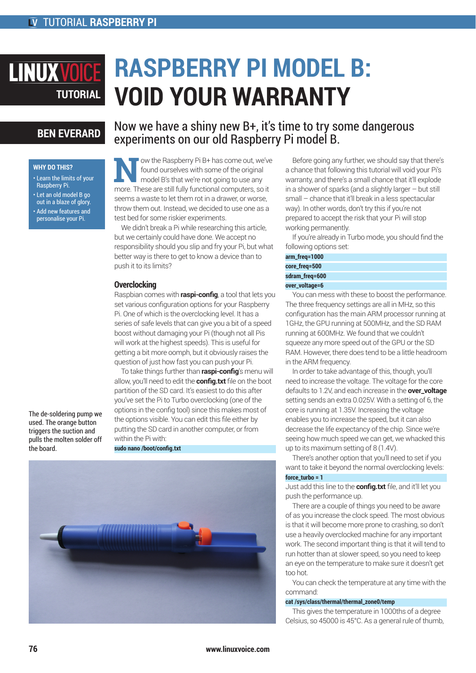# **RASPBERRY PI MODEL B: LINUXVOIC VOID YOUR WARRANTY TUTORIAL**

## **BEN EVERARD**

#### **WHY DO THIS?**

- Learn the limits of your Raspberry Pi.
- Let an old model B go out in a blaze of glory. • Add new features and personalise your Pi.

Now we have a shiny new B+, it's time to try some dangerous experiments on our old Raspberry Pi model B.

ow the Raspberry Pi B+ has come out, we've found ourselves with some of the original model B's that we're not going to use any more. These are still fully functional computers, so it seems a waste to let them rot in a drawer, or worse, throw them out. Instead, we decided to use one as a test bed for some riskier experiments.

We didn't break a Pi while researching this article, but we certainly could have done. We accept no responsibility should you slip and fry your Pi, but what better way is there to get to know a device than to push it to its limits?

#### **Overclocking**

Raspbian comes with **raspi-config**, a tool that lets you set various configuration options for your Raspberry Pi. One of which is the overclocking level. It has a series of safe levels that can give you a bit of a speed boost without damaging your Pi (though not all Pis will work at the highest speeds). This is useful for getting a bit more oomph, but it obviously raises the question of just how fast you can push your Pi.

To take things further than **raspi-config**'s menu will allow, you'll need to edit the **config.txt** file on the boot partition of the SD card. It's easiest to do this after you've set the Pi to Turbo overclocking (one of the options in the config tool) since this makes most of the options visible. You can edit this file either by putting the SD card in another computer, or from within the Pi with:

**sudo nano /boot/config.txt**



Before going any further, we should say that there's a chance that following this tutorial will void your Pi's warranty, and there's a small chance that it'll explode in a shower of sparks (and a slightly larger – but still small – chance that it'll break in a less spectacular way). In other words, don't try this if you're not prepared to accept the risk that your Pi will stop working permanently.

If you're already in Turbo mode, you should find the following options set:

| arm_freq=1000  |
|----------------|
| core_freq=500  |
| sdram_freg=600 |
| over_voltage=6 |

You can mess with these to boost the performance. The three frequency settings are all in MHz, so this configuration has the main ARM processor running at 1GHz, the GPU running at 500MHz, and the SD RAM running at 600MHz. We found that we couldn't squeeze any more speed out of the GPU or the SD RAM. However, there does tend to be a little headroom in the ARM frequency.

In order to take advantage of this, though, you'll need to increase the voltage. The voltage for the core defaults to 1.2V, and each increase in the **over\_voltage**  setting sends an extra 0.025V. With a setting of 6, the core is running at 1.35V. Increasing the voltage enables you to increase the speed, but it can also decrease the life expectancy of the chip. Since we're seeing how much speed we can get, we whacked this up to its maximum setting of 8 (1.4V).

There's another option that you'll need to set if you want to take it beyond the normal overclocking levels: **force\_turbo = 1**

Just add this line to the **config.txt** file, and it'll let you push the performance up.

There are a couple of things you need to be aware of as you increase the clock speed. The most obvious is that it will become more prone to crashing, so don't use a heavily overclocked machine for any important work. The second important thing is that it will tend to run hotter than at slower speed, so you need to keep an eye on the temperature to make sure it doesn't get too hot.

You can check the temperature at any time with the command:

#### **cat /sys/class/thermal/thermal\_zone0/temp**

This gives the temperature in 1000ths of a degree Celsius, so 45000 is 45°C. As a general rule of thumb,

The de-soldering pump we used. The orange button triggers the suction and pulls the molten solder off the board.